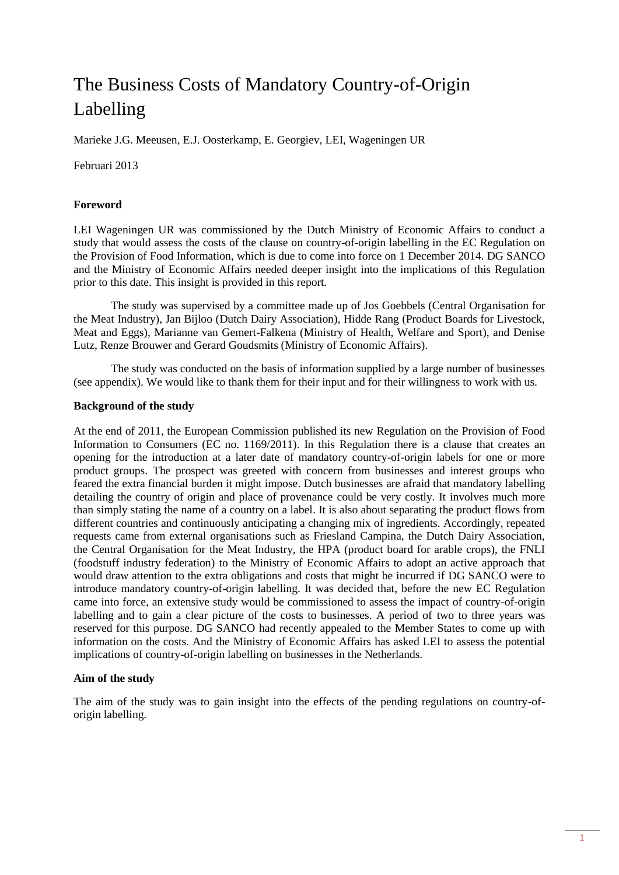# The Business Costs of Mandatory Country-of-Origin Labelling

Marieke J.G. Meeusen, E.J. Oosterkamp, E. Georgiev, LEI, Wageningen UR

Februari 2013

#### **Foreword**

LEI Wageningen UR was commissioned by the Dutch Ministry of Economic Affairs to conduct a study that would assess the costs of the clause on country-of-origin labelling in the EC Regulation on the Provision of Food Information, which is due to come into force on 1 December 2014. DG SANCO and the Ministry of Economic Affairs needed deeper insight into the implications of this Regulation prior to this date. This insight is provided in this report.

The study was supervised by a committee made up of Jos Goebbels (Central Organisation for the Meat Industry), Jan Bijloo (Dutch Dairy Association), Hidde Rang (Product Boards for Livestock, Meat and Eggs), Marianne van Gemert-Falkena (Ministry of Health, Welfare and Sport), and Denise Lutz, Renze Brouwer and Gerard Goudsmits (Ministry of Economic Affairs).

The study was conducted on the basis of information supplied by a large number of businesses (see appendix). We would like to thank them for their input and for their willingness to work with us.

#### **Background of the study**

At the end of 2011, the European Commission published its new Regulation on the Provision of Food Information to Consumers (EC no. 1169/2011). In this Regulation there is a clause that creates an opening for the introduction at a later date of mandatory country-of-origin labels for one or more product groups. The prospect was greeted with concern from businesses and interest groups who feared the extra financial burden it might impose. Dutch businesses are afraid that mandatory labelling detailing the country of origin and place of provenance could be very costly. It involves much more than simply stating the name of a country on a label. It is also about separating the product flows from different countries and continuously anticipating a changing mix of ingredients. Accordingly, repeated requests came from external organisations such as Friesland Campina, the Dutch Dairy Association, the Central Organisation for the Meat Industry, the HPA (product board for arable crops), the FNLI (foodstuff industry federation) to the Ministry of Economic Affairs to adopt an active approach that would draw attention to the extra obligations and costs that might be incurred if DG SANCO were to introduce mandatory country-of-origin labelling. It was decided that, before the new EC Regulation came into force, an extensive study would be commissioned to assess the impact of country-of-origin labelling and to gain a clear picture of the costs to businesses. A period of two to three years was reserved for this purpose. DG SANCO had recently appealed to the Member States to come up with information on the costs. And the Ministry of Economic Affairs has asked LEI to assess the potential implications of country-of-origin labelling on businesses in the Netherlands.

#### **Aim of the study**

The aim of the study was to gain insight into the effects of the pending regulations on country-oforigin labelling.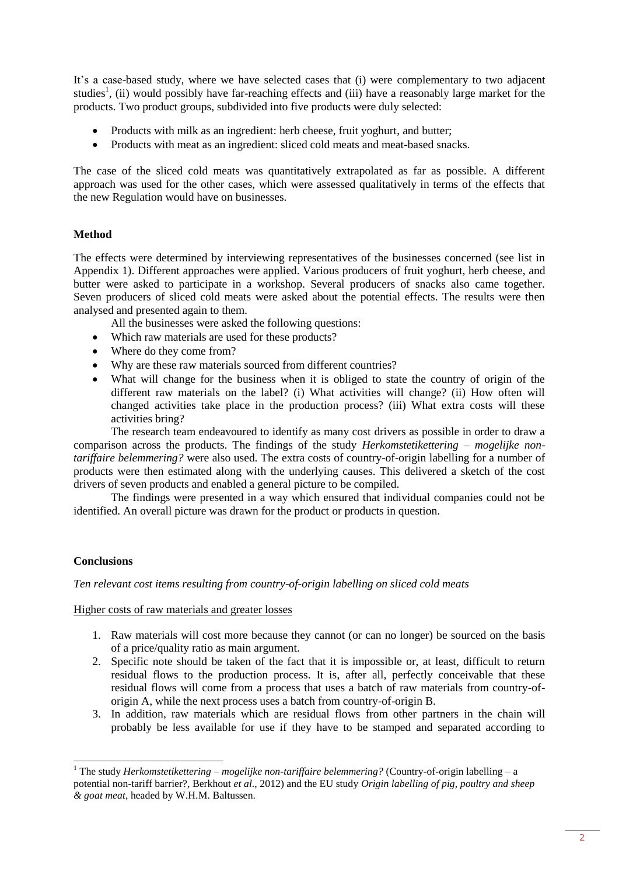It's a case-based study, where we have selected cases that (i) were complementary to two adjacent studies<sup>1</sup>, (ii) would possibly have far-reaching effects and (iii) have a reasonably large market for the products. Two product groups, subdivided into five products were duly selected:

- Products with milk as an ingredient: herb cheese, fruit yoghurt, and butter;
- Products with meat as an ingredient: sliced cold meats and meat-based snacks.

The case of the sliced cold meats was quantitatively extrapolated as far as possible. A different approach was used for the other cases, which were assessed qualitatively in terms of the effects that the new Regulation would have on businesses.

# **Method**

The effects were determined by interviewing representatives of the businesses concerned (see list in Appendix 1). Different approaches were applied. Various producers of fruit yoghurt, herb cheese, and butter were asked to participate in a workshop. Several producers of snacks also came together. Seven producers of sliced cold meats were asked about the potential effects. The results were then analysed and presented again to them.

All the businesses were asked the following questions:

- Which raw materials are used for these products?
- Where do they come from?
- Why are these raw materials sourced from different countries?
- What will change for the business when it is obliged to state the country of origin of the different raw materials on the label? (i) What activities will change? (ii) How often will changed activities take place in the production process? (iii) What extra costs will these activities bring?

The research team endeavoured to identify as many cost drivers as possible in order to draw a comparison across the products. The findings of the study *Herkomstetikettering – mogelijke nontariffaire belemmering?* were also used. The extra costs of country-of-origin labelling for a number of products were then estimated along with the underlying causes. This delivered a sketch of the cost drivers of seven products and enabled a general picture to be compiled.

The findings were presented in a way which ensured that individual companies could not be identified. An overall picture was drawn for the product or products in question.

# **Conclusions**

-

*Ten relevant cost items resulting from country-of-origin labelling on sliced cold meats*

#### Higher costs of raw materials and greater losses

- 1. Raw materials will cost more because they cannot (or can no longer) be sourced on the basis of a price/quality ratio as main argument.
- 2. Specific note should be taken of the fact that it is impossible or, at least, difficult to return residual flows to the production process. It is, after all, perfectly conceivable that these residual flows will come from a process that uses a batch of raw materials from country-oforigin A, while the next process uses a batch from country-of-origin B.
- 3. In addition, raw materials which are residual flows from other partners in the chain will probably be less available for use if they have to be stamped and separated according to

<sup>1</sup> The study *Herkomstetikettering – mogelijke non-tariffaire belemmering?* (Country-of-origin labelling – a potential non-tariff barrier?, Berkhout *et al*., 2012) and the EU study *Origin labelling of pig, poultry and sheep & goat meat*, headed by W.H.M. Baltussen.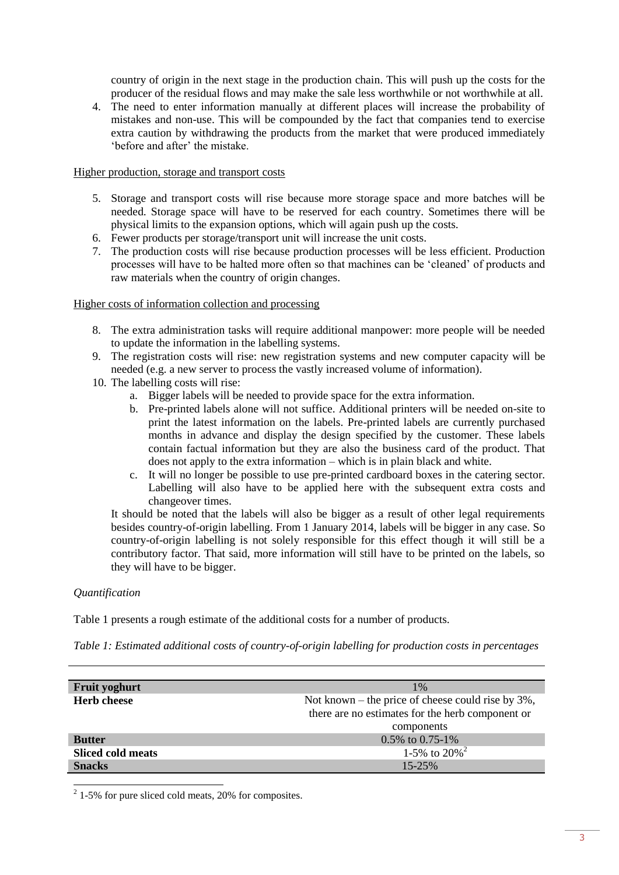country of origin in the next stage in the production chain. This will push up the costs for the producer of the residual flows and may make the sale less worthwhile or not worthwhile at all.

4. The need to enter information manually at different places will increase the probability of mistakes and non-use. This will be compounded by the fact that companies tend to exercise extra caution by withdrawing the products from the market that were produced immediately 'before and after' the mistake.

#### Higher production, storage and transport costs

- 5. Storage and transport costs will rise because more storage space and more batches will be needed. Storage space will have to be reserved for each country. Sometimes there will be physical limits to the expansion options, which will again push up the costs.
- 6. Fewer products per storage/transport unit will increase the unit costs.
- 7. The production costs will rise because production processes will be less efficient. Production processes will have to be halted more often so that machines can be 'cleaned' of products and raw materials when the country of origin changes.

#### Higher costs of information collection and processing

- 8. The extra administration tasks will require additional manpower: more people will be needed to update the information in the labelling systems.
- 9. The registration costs will rise: new registration systems and new computer capacity will be needed (e.g. a new server to process the vastly increased volume of information).
- 10. The labelling costs will rise:
	- a. Bigger labels will be needed to provide space for the extra information.
	- b. Pre-printed labels alone will not suffice. Additional printers will be needed on-site to print the latest information on the labels. Pre-printed labels are currently purchased months in advance and display the design specified by the customer. These labels contain factual information but they are also the business card of the product. That does not apply to the extra information – which is in plain black and white.
	- c. It will no longer be possible to use pre-printed cardboard boxes in the catering sector. Labelling will also have to be applied here with the subsequent extra costs and changeover times.

It should be noted that the labels will also be bigger as a result of other legal requirements besides country-of-origin labelling. From 1 January 2014, labels will be bigger in any case. So country-of-origin labelling is not solely responsible for this effect though it will still be a contributory factor. That said, more information will still have to be printed on the labels, so they will have to be bigger.

#### *Quantification*

Table 1 presents a rough estimate of the additional costs for a number of products.

*Table 1: Estimated additional costs of country-of-origin labelling for production costs in percentages* 

| Fruit yoghurt            | $1\%$                                                 |
|--------------------------|-------------------------------------------------------|
| <b>Herb cheese</b>       | Not known – the price of cheese could rise by $3\%$ , |
|                          | there are no estimates for the herb component or      |
|                          | components                                            |
| <b>Butter</b>            | 0.5% to 0.75-1%                                       |
| <b>Sliced cold meats</b> | 1-5% to $20\%$ <sup>2</sup>                           |
| <b>Snacks</b>            | $15 - 25%$                                            |

 $\overline{a_{1-5\%}}$  for pure sliced cold meats, 20% for composites.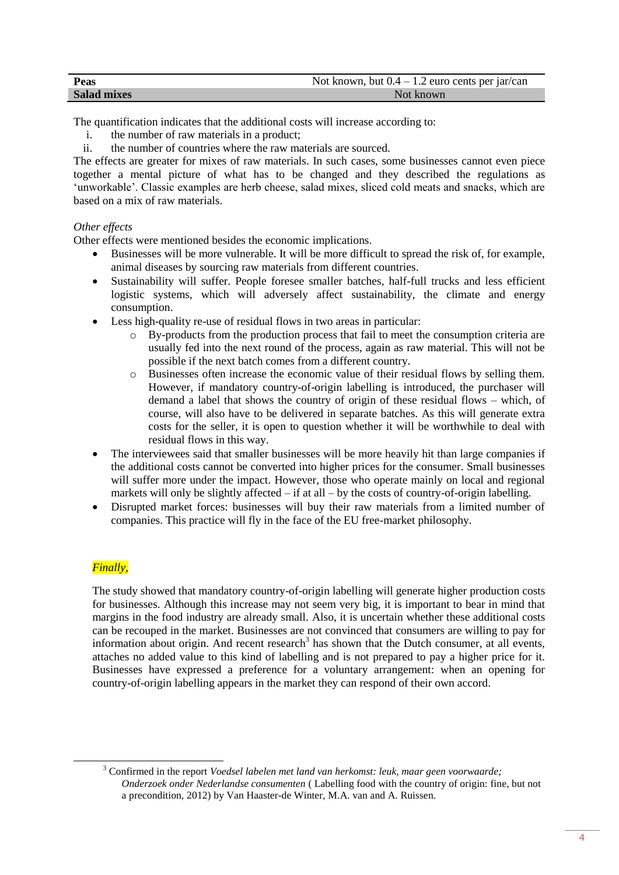| Peas               | Not known, but $0.4 - 1.2$ euro cents per jar/can |
|--------------------|---------------------------------------------------|
| <b>Salad mixes</b> | Not known                                         |

The quantification indicates that the additional costs will increase according to:

- i. the number of raw materials in a product;
- ii. the number of countries where the raw materials are sourced.

The effects are greater for mixes of raw materials. In such cases, some businesses cannot even piece together a mental picture of what has to be changed and they described the regulations as 'unworkable'. Classic examples are herb cheese, salad mixes, sliced cold meats and snacks, which are based on a mix of raw materials.

# *Other effects*

Other effects were mentioned besides the economic implications.

- Businesses will be more vulnerable. It will be more difficult to spread the risk of, for example, animal diseases by sourcing raw materials from different countries.
- Sustainability will suffer. People foresee smaller batches, half-full trucks and less efficient logistic systems, which will adversely affect sustainability, the climate and energy consumption.
- Less high-quality re-use of residual flows in two areas in particular:
	- o By-products from the production process that fail to meet the consumption criteria are usually fed into the next round of the process, again as raw material. This will not be possible if the next batch comes from a different country.
	- o Businesses often increase the economic value of their residual flows by selling them. However, if mandatory country-of-origin labelling is introduced, the purchaser will demand a label that shows the country of origin of these residual flows – which, of course, will also have to be delivered in separate batches. As this will generate extra costs for the seller, it is open to question whether it will be worthwhile to deal with residual flows in this way.
- The interviewees said that smaller businesses will be more heavily hit than large companies if the additional costs cannot be converted into higher prices for the consumer. Small businesses will suffer more under the impact. However, those who operate mainly on local and regional markets will only be slightly affected  $-$  if at all  $-$  by the costs of country-of-origin labelling.
- Disrupted market forces: businesses will buy their raw materials from a limited number of companies. This practice will fly in the face of the EU free-market philosophy.

# *Finally,*

-

The study showed that mandatory country-of-origin labelling will generate higher production costs for businesses. Although this increase may not seem very big, it is important to bear in mind that margins in the food industry are already small. Also, it is uncertain whether these additional costs can be recouped in the market. Businesses are not convinced that consumers are willing to pay for information about origin. And recent research<sup>3</sup> has shown that the Dutch consumer, at all events, attaches no added value to this kind of labelling and is not prepared to pay a higher price for it. Businesses have expressed a preference for a voluntary arrangement: when an opening for country-of-origin labelling appears in the market they can respond of their own accord.

<sup>3</sup> Confirmed in the report *Voedsel labelen met land van herkomst: leuk, maar geen voorwaarde; Onderzoek onder Nederlandse consumenten* ( Labelling food with the country of origin: fine, but not a precondition, 2012) by Van Haaster-de Winter, M.A. van and A. Ruissen.